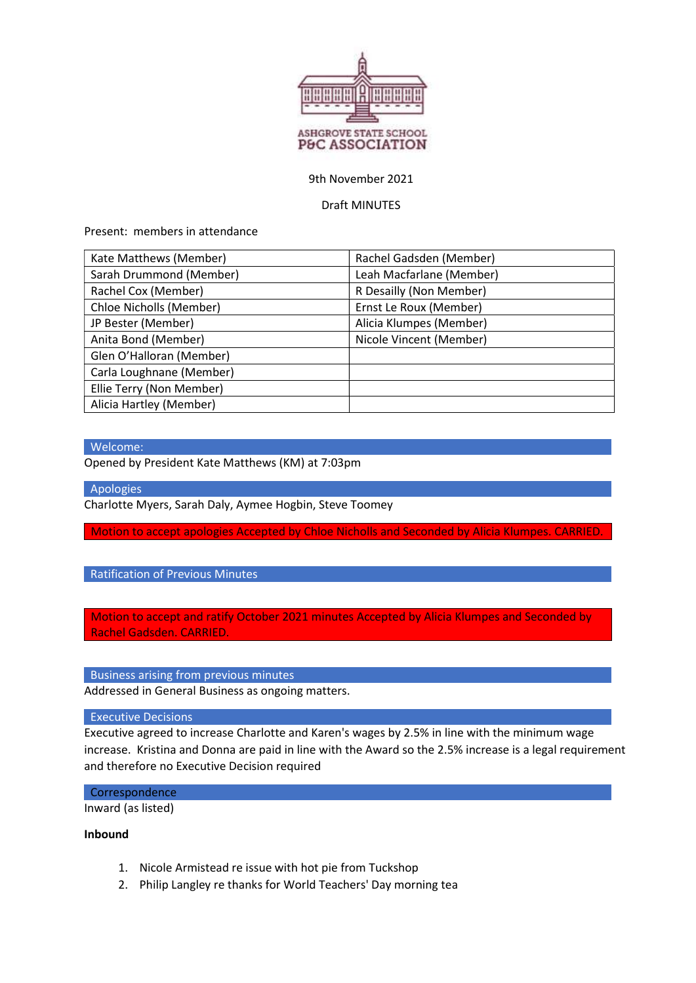

## 9th November 2021

## Draft MINUTES

Present: members in attendance

| Kate Matthews (Member)   | Rachel Gadsden (Member)  |
|--------------------------|--------------------------|
| Sarah Drummond (Member)  | Leah Macfarlane (Member) |
| Rachel Cox (Member)      | R Desailly (Non Member)  |
| Chloe Nicholls (Member)  | Ernst Le Roux (Member)   |
| JP Bester (Member)       | Alicia Klumpes (Member)  |
| Anita Bond (Member)      | Nicole Vincent (Member)  |
| Glen O'Halloran (Member) |                          |
| Carla Loughnane (Member) |                          |
| Ellie Terry (Non Member) |                          |
| Alicia Hartley (Member)  |                          |

## Welcome:

Opened by President Kate Matthews (KM) at 7:03pm

Apologies

Charlotte Myers, Sarah Daly, Aymee Hogbin, Steve Toomey

Motion to accept apologies Accepted by Chloe Nicholls and Seconded by Alicia Klumpes. CARRIED.

Ratification of Previous Minutes

Motion to accept and ratify October 2021 minutes Accepted by Alicia Klumpes and Seconded by Rachel Gadsden. CARRIED.

Business arising from previous minutes

Addressed in General Business as ongoing matters.

Executive Decisions

Executive agreed to increase Charlotte and Karen's wages by 2.5% in line with the minimum wage increase. Kristina and Donna are paid in line with the Award so the 2.5% increase is a legal requirement and therefore no Executive Decision required

# **Correspondence**

Inward (as listed)

#### Inbound

- 1. Nicole Armistead re issue with hot pie from Tuckshop
- 2. Philip Langley re thanks for World Teachers' Day morning tea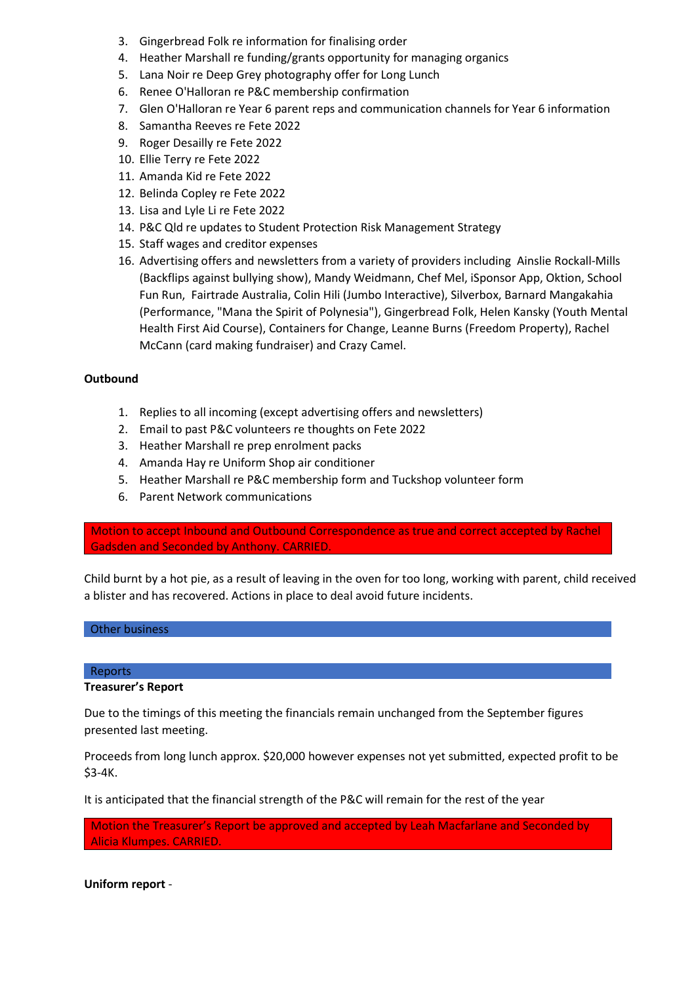- 3. Gingerbread Folk re information for finalising order
- 4. Heather Marshall re funding/grants opportunity for managing organics
- 5. Lana Noir re Deep Grey photography offer for Long Lunch
- 6. Renee O'Halloran re P&C membership confirmation
- 7. Glen O'Halloran re Year 6 parent reps and communication channels for Year 6 information
- 8. Samantha Reeves re Fete 2022
- 9. Roger Desailly re Fete 2022
- 10. Ellie Terry re Fete 2022
- 11. Amanda Kid re Fete 2022
- 12. Belinda Copley re Fete 2022
- 13. Lisa and Lyle Li re Fete 2022
- 14. P&C Qld re updates to Student Protection Risk Management Strategy
- 15. Staff wages and creditor expenses
- 16. Advertising offers and newsletters from a variety of providers including Ainslie Rockall-Mills (Backflips against bullying show), Mandy Weidmann, Chef Mel, iSponsor App, Oktion, School Fun Run, Fairtrade Australia, Colin Hili (Jumbo Interactive), Silverbox, Barnard Mangakahia (Performance, "Mana the Spirit of Polynesia"), Gingerbread Folk, Helen Kansky (Youth Mental Health First Aid Course), Containers for Change, Leanne Burns (Freedom Property), Rachel McCann (card making fundraiser) and Crazy Camel.

# **Outbound**

- 1. Replies to all incoming (except advertising offers and newsletters)
- 2. Email to past P&C volunteers re thoughts on Fete 2022
- 3. Heather Marshall re prep enrolment packs
- 4. Amanda Hay re Uniform Shop air conditioner
- 5. Heather Marshall re P&C membership form and Tuckshop volunteer form
- 6. Parent Network communications

Motion to accept Inbound and Outbound Correspondence as true and correct accepted by Rachel Gadsden and Seconded by Anthony. CARRIED.

Child burnt by a hot pie, as a result of leaving in the oven for too long, working with parent, child received a blister and has recovered. Actions in place to deal avoid future incidents.

## Other business

## Reports

## Treasurer's Report

Due to the timings of this meeting the financials remain unchanged from the September figures presented last meeting.

Proceeds from long lunch approx. \$20,000 however expenses not yet submitted, expected profit to be \$3-4K.

It is anticipated that the financial strength of the P&C will remain for the rest of the year

Motion the Treasurer's Report be approved and accepted by Leah Macfarlane and Seconded by Alicia Klumpes. CARRIED.

Uniform report -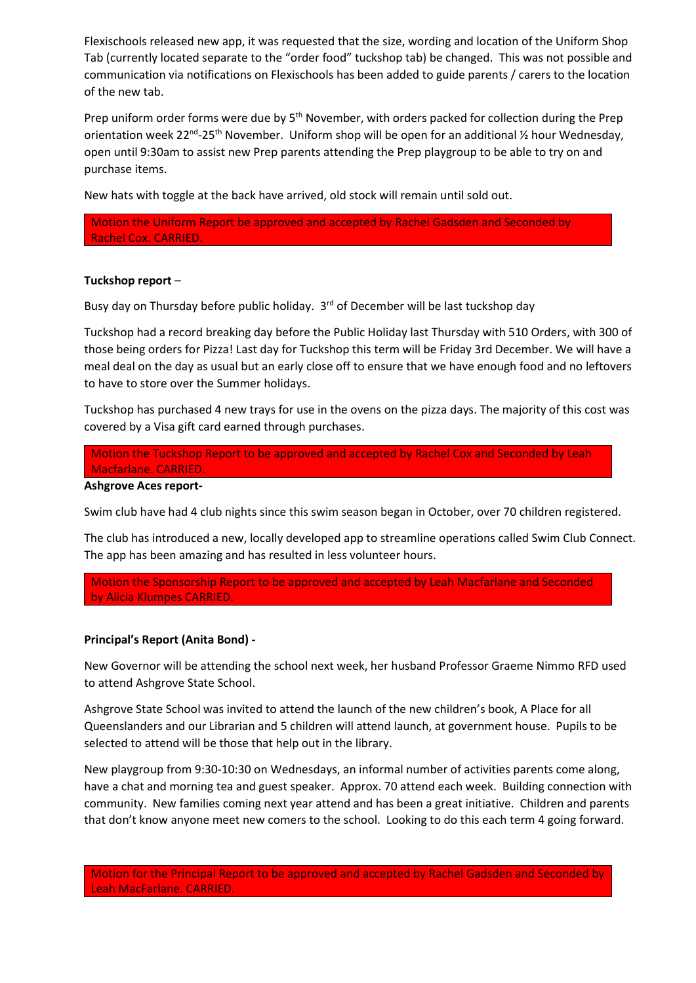Flexischools released new app, it was requested that the size, wording and location of the Uniform Shop Tab (currently located separate to the "order food" tuckshop tab) be changed. This was not possible and communication via notifications on Flexischools has been added to guide parents / carers to the location of the new tab.

Prep uniform order forms were due by 5<sup>th</sup> November, with orders packed for collection during the Prep orientation week 22<sup>nd</sup>-25<sup>th</sup> November. Uniform shop will be open for an additional  $\frac{1}{2}$  hour Wednesday, open until 9:30am to assist new Prep parents attending the Prep playgroup to be able to try on and purchase items.

New hats with toggle at the back have arrived, old stock will remain until sold out.

Motion the Uniform Report be approved and accepted by Rachel Gadsden and Seconded by Rachel Cox. CARRIED.

#### Tuckshop report –

Busy day on Thursday before public holiday.  $3<sup>rd</sup>$  of December will be last tuckshop day

Tuckshop had a record breaking day before the Public Holiday last Thursday with 510 Orders, with 300 of those being orders for Pizza! Last day for Tuckshop this term will be Friday 3rd December. We will have a meal deal on the day as usual but an early close off to ensure that we have enough food and no leftovers to have to store over the Summer holidays.

Tuckshop has purchased 4 new trays for use in the ovens on the pizza days. The majority of this cost was covered by a Visa gift card earned through purchases.

Motion the Tuckshop Report to be approved and accepted by Rachel Cox and Seconded by Leah Macfarlane. CARRIED.

Ashgrove Aces report-

Swim club have had 4 club nights since this swim season began in October, over 70 children registered.

The club has introduced a new, locally developed app to streamline operations called Swim Club Connect. The app has been amazing and has resulted in less volunteer hours.

Motion the Sponsorship Report to be approved and accepted by Leah Macfarlane and Seconded by Alicia Klumpes CARRIED.

## Principal's Report (Anita Bond) -

New Governor will be attending the school next week, her husband Professor Graeme Nimmo RFD used to attend Ashgrove State School.

Ashgrove State School was invited to attend the launch of the new children's book, A Place for all Queenslanders and our Librarian and 5 children will attend launch, at government house. Pupils to be selected to attend will be those that help out in the library.

New playgroup from 9:30-10:30 on Wednesdays, an informal number of activities parents come along, have a chat and morning tea and guest speaker. Approx. 70 attend each week. Building connection with community. New families coming next year attend and has been a great initiative. Children and parents that don't know anyone meet new comers to the school. Looking to do this each term 4 going forward.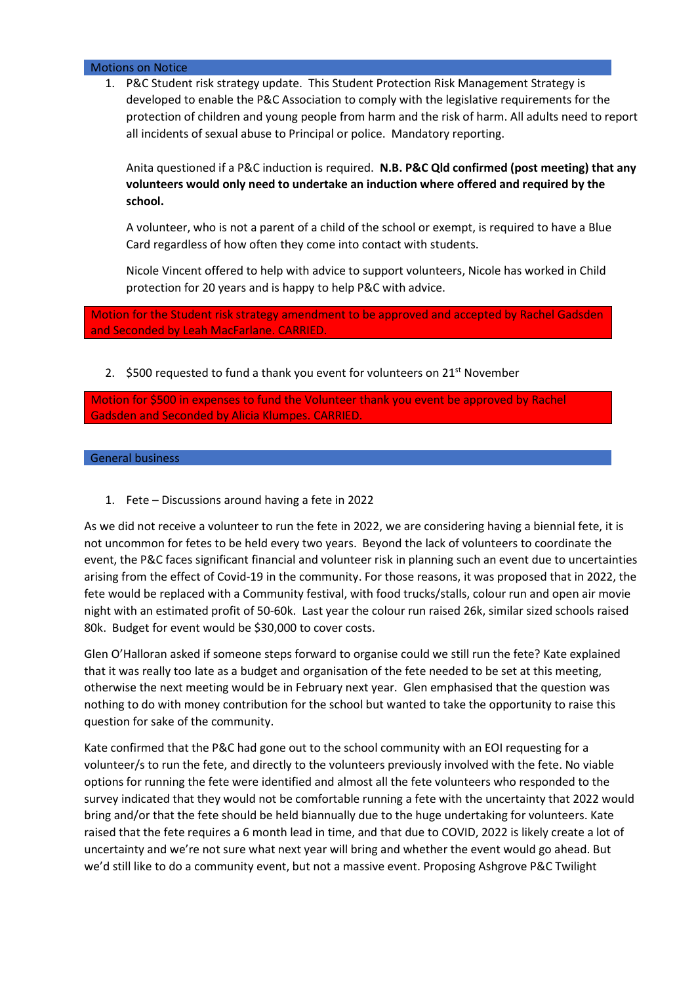#### Motions on Notice

1. P&C Student risk strategy update. This Student Protection Risk Management Strategy is developed to enable the P&C Association to comply with the legislative requirements for the protection of children and young people from harm and the risk of harm. All adults need to report all incidents of sexual abuse to Principal or police. Mandatory reporting.

Anita questioned if a P&C induction is required. N.B. P&C Qld confirmed (post meeting) that any volunteers would only need to undertake an induction where offered and required by the school.

A volunteer, who is not a parent of a child of the school or exempt, is required to have a Blue Card regardless of how often they come into contact with students.

Nicole Vincent offered to help with advice to support volunteers, Nicole has worked in Child protection for 20 years and is happy to help P&C with advice.

Motion for the Student risk strategy amendment to be approved and accepted by Rachel Gadsden and Seconded by Leah MacFarlane. CARRIED.

2.  $$500$  requested to fund a thank you event for volunteers on 21 $^{st}$  November

Motion for \$500 in expenses to fund the Volunteer thank you event be approved by Rachel Gadsden and Seconded by Alicia Klumpes. CARRIED.

#### General business

1. Fete – Discussions around having a fete in 2022

As we did not receive a volunteer to run the fete in 2022, we are considering having a biennial fete, it is not uncommon for fetes to be held every two years. Beyond the lack of volunteers to coordinate the event, the P&C faces significant financial and volunteer risk in planning such an event due to uncertainties arising from the effect of Covid-19 in the community. For those reasons, it was proposed that in 2022, the fete would be replaced with a Community festival, with food trucks/stalls, colour run and open air movie night with an estimated profit of 50-60k. Last year the colour run raised 26k, similar sized schools raised 80k. Budget for event would be \$30,000 to cover costs.

Glen O'Halloran asked if someone steps forward to organise could we still run the fete? Kate explained that it was really too late as a budget and organisation of the fete needed to be set at this meeting, otherwise the next meeting would be in February next year. Glen emphasised that the question was nothing to do with money contribution for the school but wanted to take the opportunity to raise this question for sake of the community.

Kate confirmed that the P&C had gone out to the school community with an EOI requesting for a volunteer/s to run the fete, and directly to the volunteers previously involved with the fete. No viable options for running the fete were identified and almost all the fete volunteers who responded to the survey indicated that they would not be comfortable running a fete with the uncertainty that 2022 would bring and/or that the fete should be held biannually due to the huge undertaking for volunteers. Kate raised that the fete requires a 6 month lead in time, and that due to COVID, 2022 is likely create a lot of uncertainty and we're not sure what next year will bring and whether the event would go ahead. But we'd still like to do a community event, but not a massive event. Proposing Ashgrove P&C Twilight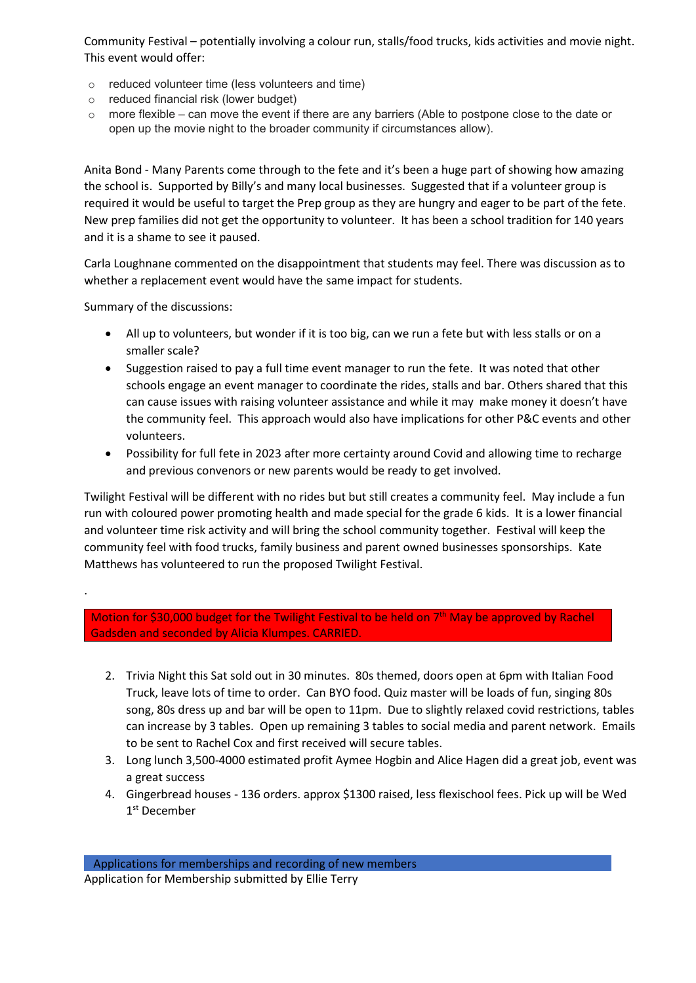Community Festival – potentially involving a colour run, stalls/food trucks, kids activities and movie night. This event would offer:

- o reduced volunteer time (less volunteers and time)
- o reduced financial risk (lower budget)
- $\circ$  more flexible can move the event if there are any barriers (Able to postpone close to the date or open up the movie night to the broader community if circumstances allow).

Anita Bond - Many Parents come through to the fete and it's been a huge part of showing how amazing the school is. Supported by Billy's and many local businesses. Suggested that if a volunteer group is required it would be useful to target the Prep group as they are hungry and eager to be part of the fete. New prep families did not get the opportunity to volunteer. It has been a school tradition for 140 years and it is a shame to see it paused.

Carla Loughnane commented on the disappointment that students may feel. There was discussion as to whether a replacement event would have the same impact for students.

Summary of the discussions:

.

- All up to volunteers, but wonder if it is too big, can we run a fete but with less stalls or on a smaller scale?
- Suggestion raised to pay a full time event manager to run the fete. It was noted that other schools engage an event manager to coordinate the rides, stalls and bar. Others shared that this can cause issues with raising volunteer assistance and while it may make money it doesn't have the community feel. This approach would also have implications for other P&C events and other volunteers.
- Possibility for full fete in 2023 after more certainty around Covid and allowing time to recharge and previous convenors or new parents would be ready to get involved.

Twilight Festival will be different with no rides but but still creates a community feel. May include a fun run with coloured power promoting health and made special for the grade 6 kids. It is a lower financial and volunteer time risk activity and will bring the school community together. Festival will keep the community feel with food trucks, family business and parent owned businesses sponsorships. Kate Matthews has volunteered to run the proposed Twilight Festival.

Motion for \$30,000 budget for the Twilight Festival to be held on 7<sup>th</sup> May be approved by Rachel Gadsden and seconded by Alicia Klumpes. CARRIED.

- 2. Trivia Night this Sat sold out in 30 minutes. 80s themed, doors open at 6pm with Italian Food Truck, leave lots of time to order. Can BYO food. Quiz master will be loads of fun, singing 80s song, 80s dress up and bar will be open to 11pm. Due to slightly relaxed covid restrictions, tables can increase by 3 tables. Open up remaining 3 tables to social media and parent network. Emails to be sent to Rachel Cox and first received will secure tables.
- 3. Long lunch 3,500-4000 estimated profit Aymee Hogbin and Alice Hagen did a great job, event was a great success
- 4. Gingerbread houses 136 orders. approx \$1300 raised, less flexischool fees. Pick up will be Wed 1 st December